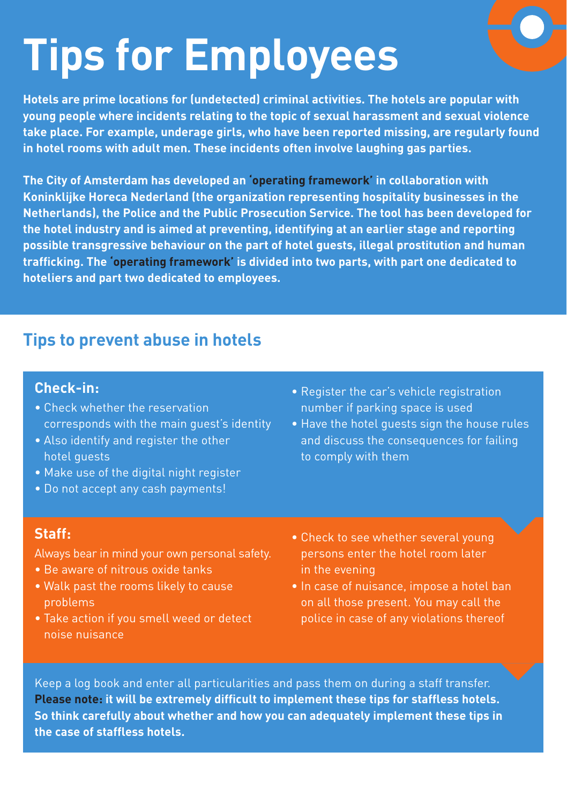# **Tips for Employees**

**Hotels are prime locations for (undetected) criminal activities. The hotels are popular with young people where incidents relating to the topic of sexual harassment and sexual violence take place. For example, underage girls, who have been reported missing, are regularly found in hotel rooms with adult men. These incidents often involve laughing gas parties.** 

**The City of Amsterdam has developed an 'operating framework' in collaboration with Koninklijke Horeca Nederland (the organization representing hospitality businesses in the Netherlands), the Police and the Public Prosecution Service. The tool has been developed for the hotel industry and is aimed at preventing, identifying at an earlier stage and reporting possible transgressive behaviour on the part of hotel guests, illegal prostitution and human trafficking. The 'operating framework' is divided into two parts, with part one dedicated to hoteliers and part two dedicated to employees.**

## **Tips to prevent abuse in hotels**

#### **Check-in:**

- Check whether the reservation corresponds with the main guest's identity
- Also identify and register the other hotel guests
- Make use of the digital night register
- Do not accept any cash payments!
- Register the car's vehicle registration number if parking space is used
- Have the hotel guests sign the house rules and discuss the consequences for failing to comply with them

#### **Staff:**

Always bear in mind your own personal safety.

- Be aware of nitrous oxide tanks
- Walk past the rooms likely to cause problems
- Take action if you smell weed or detect noise nuisance
- Check to see whether several young persons enter the hotel room later in the evening
- In case of nuisance, impose a hotel ban on all those present. You may call the police in case of any violations thereof

Keep a log book and enter all particularities and pass them on during a staff transfer. **Please note: it will be extremely difficult to implement these tips for staffless hotels. So think carefully about whether and how you can adequately implement these tips in the case of staffless hotels.**